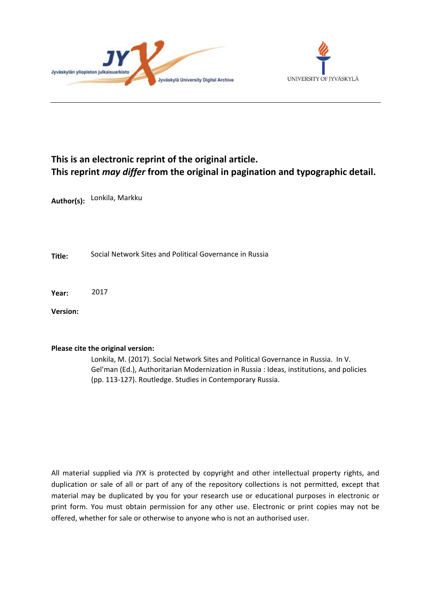



# **This is an electronic reprint of the original article. This reprint** *may differ* **from the original in pagination and typographic detail.**

**Author(s):**  Lonkila, Markku

**Title:** Social Network Sites and Political Governance in Russia

**Year:**  2017

**Version:**

#### **Please cite the original version:**

Lonkila, M. (2017). Social Network Sites and Political Governance in Russia. In V. Gel'man (Ed.), Authoritarian Modernization in Russia : Ideas, institutions, and policies (pp. 113-127). Routledge. Studies in Contemporary Russia.

All material supplied via JYX is protected by copyright and other intellectual property rights, and duplication or sale of all or part of any of the repository collections is not permitted, except that material may be duplicated by you for your research use or educational purposes in electronic or print form. You must obtain permission for any other use. Electronic or print copies may not be offered, whether for sale or otherwise to anyone who is not an authorised user.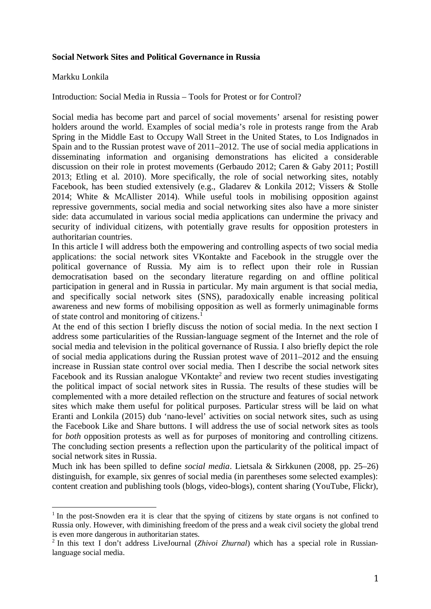### **Social Network Sites and Political Governance in Russia**

### Markku Lonkila

 

# Introduction: Social Media in Russia – Tools for Protest or for Control?

Social media has become part and parcel of social movements' arsenal for resisting power holders around the world. Examples of social media's role in protests range from the Arab Spring in the Middle East to Occupy Wall Street in the United States, to Los Indignados in Spain and to the Russian protest wave of 2011–2012. The use of social media applications in disseminating information and organising demonstrations has elicited a considerable discussion on their role in protest movements (Gerbaudo 2012; Caren & Gaby 2011; Postill 2013; Etling et al. 2010). More specifically, the role of social networking sites, notably Facebook, has been studied extensively (e.g., Gladarev & Lonkila 2012; Vissers & Stolle 2014; White & McAllister 2014). While useful tools in mobilising opposition against repressive governments, social media and social networking sites also have a more sinister side: data accumulated in various social media applications can undermine the privacy and security of individual citizens, with potentially grave results for opposition protesters in authoritarian countries.

In this article I will address both the empowering and controlling aspects of two social media applications: the social network sites VKontakte and Facebook in the struggle over the political governance of Russia. My aim is to reflect upon their role in Russian democratisation based on the secondary literature regarding on and offline political participation in general and in Russia in particular. My main argument is that social media, and specifically social network sites (SNS), paradoxically enable increasing political awareness and new forms of mobilising opposition as well as formerly unimaginable forms of state control and monitoring of citizens.<sup>1</sup>

At the end of this section I briefly discuss the notion of social media. In the next section I address some particularities of the Russian-language segment of the Internet and the role of social media and television in the political governance of Russia. I also briefly depict the role of social media applications during the Russian protest wave of 2011–2012 and the ensuing increase in Russian state control over social media. Then I describe the social network sites Facebook and its Russian analogue VKontakte<sup>2</sup> and review two recent studies investigating the political impact of social network sites in Russia. The results of these studies will be complemented with a more detailed reflection on the structure and features of social network sites which make them useful for political purposes. Particular stress will be laid on what Eranti and Lonkila (2015) dub 'nano-level' activities on social network sites, such as using the Facebook Like and Share buttons. I will address the use of social network sites as tools for *both* opposition protests as well as for purposes of monitoring and controlling citizens. The concluding section presents a reflection upon the particularity of the political impact of social network sites in Russia.

Much ink has been spilled to define *social media*. Lietsala & Sirkkunen (2008, pp. 25–26) distinguish, for example, six genres of social media (in parentheses some selected examples): content creation and publishing tools (blogs, video-blogs), content sharing (YouTube, Flickr),

<sup>&</sup>lt;sup>1</sup> In the post-Snowden era it is clear that the spying of citizens by state organs is not confined to Russia only. However, with diminishing freedom of the press and a weak civil society the global trend is even more dangerous in authoritarian states.

<sup>&</sup>lt;sup>2</sup> In this text I don't address LiveJournal (*Zhivoi Zhurnal*) which has a special role in Russianlanguage social media.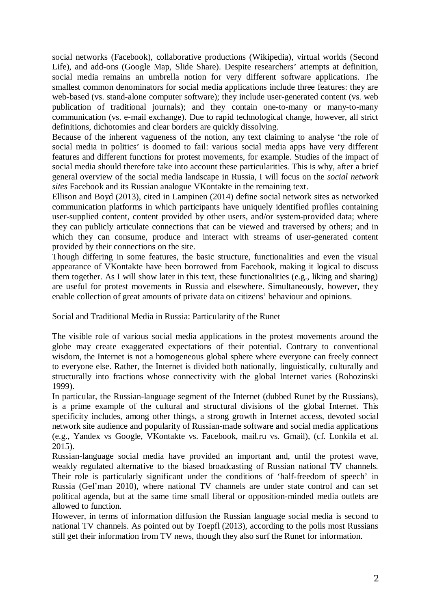social networks (Facebook), collaborative productions (Wikipedia), virtual worlds (Second Life), and add-ons (Google Map, Slide Share). Despite researchers' attempts at definition, social media remains an umbrella notion for very different software applications. The smallest common denominators for social media applications include three features: they are web-based (vs. stand-alone computer software); they include user-generated content (vs. web publication of traditional journals); and they contain one-to-many or many-to-many communication (vs. e-mail exchange). Due to rapid technological change, however, all strict definitions, dichotomies and clear borders are quickly dissolving.

Because of the inherent vagueness of the notion, any text claiming to analyse 'the role of social media in politics' is doomed to fail: various social media apps have very different features and different functions for protest movements, for example. Studies of the impact of social media should therefore take into account these particularities. This is why, after a brief general overview of the social media landscape in Russia, I will focus on the *social network sites* Facebook and its Russian analogue VKontakte in the remaining text.

Ellison and Boyd (2013), cited in Lampinen (2014) define social network sites as networked communication platforms in which participants have uniquely identified profiles containing user-supplied content, content provided by other users, and/or system-provided data; where they can publicly articulate connections that can be viewed and traversed by others; and in which they can consume, produce and interact with streams of user-generated content provided by their connections on the site.

Though differing in some features, the basic structure, functionalities and even the visual appearance of VKontakte have been borrowed from Facebook, making it logical to discuss them together. As I will show later in this text, these functionalities (e.g., liking and sharing) are useful for protest movements in Russia and elsewhere. Simultaneously, however, they enable collection of great amounts of private data on citizens' behaviour and opinions.

Social and Traditional Media in Russia: Particularity of the Runet

The visible role of various social media applications in the protest movements around the globe may create exaggerated expectations of their potential. Contrary to conventional wisdom, the Internet is not a homogeneous global sphere where everyone can freely connect to everyone else. Rather, the Internet is divided both nationally, linguistically, culturally and structurally into fractions whose connectivity with the global Internet varies (Rohozinski 1999).

In particular, the Russian-language segment of the Internet (dubbed Runet by the Russians), is a prime example of the cultural and structural divisions of the global Internet. This specificity includes, among other things, a strong growth in Internet access, devoted social network site audience and popularity of Russian-made software and social media applications (e.g., Yandex vs Google, VKontakte vs. Facebook, mail.ru vs. Gmail), (cf. Lonkila et al. 2015).

Russian-language social media have provided an important and, until the protest wave, weakly regulated alternative to the biased broadcasting of Russian national TV channels. Their role is particularly significant under the conditions of 'half-freedom of speech' in Russia (Gel'man 2010), where national TV channels are under state control and can set political agenda, but at the same time small liberal or opposition-minded media outlets are allowed to function.

However, in terms of information diffusion the Russian language social media is second to national TV channels. As pointed out by Toepfl (2013), according to the polls most Russians still get their information from TV news, though they also surf the Runet for information.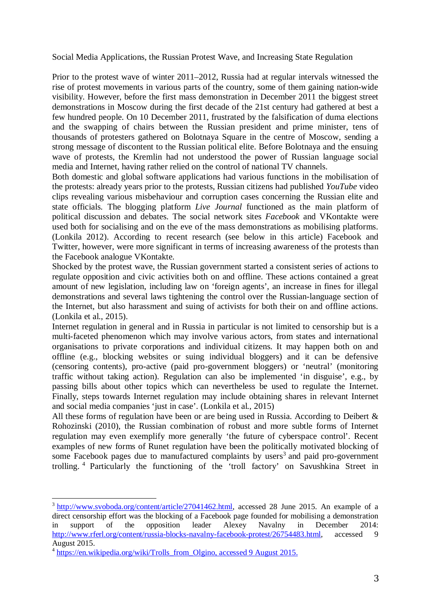Social Media Applications, the Russian Protest Wave, and Increasing State Regulation

Prior to the protest wave of winter 2011–2012, Russia had at regular intervals witnessed the rise of protest movements in various parts of the country, some of them gaining nation-wide visibility. However, before the first mass demonstration in December 2011 the biggest street demonstrations in Moscow during the first decade of the 21st century had gathered at best a few hundred people. On 10 December 2011, frustrated by the falsification of duma elections and the swapping of chairs between the Russian president and prime minister, tens of thousands of protesters gathered on Bolotnaya Square in the centre of Moscow, sending a strong message of discontent to the Russian political elite. Before Bolotnaya and the ensuing wave of protests, the Kremlin had not understood the power of Russian language social media and Internet, having rather relied on the control of national TV channels.

Both domestic and global software applications had various functions in the mobilisation of the protests: already years prior to the protests, Russian citizens had published *YouTube* video clips revealing various misbehaviour and corruption cases concerning the Russian elite and state officials. The blogging platform *Live Journal* functioned as the main platform of political discussion and debates. The social network sites *Facebook* and VKontakte were used both for socialising and on the eve of the mass demonstrations as mobilising platforms. (Lonkila 2012). According to recent research (see below in this article) Facebook and Twitter, however, were more significant in terms of increasing awareness of the protests than the Facebook analogue VKontakte.

Shocked by the protest wave, the Russian government started a consistent series of actions to regulate opposition and civic activities both on and offline. These actions contained a great amount of new legislation, including law on 'foreign agents', an increase in fines for illegal demonstrations and several laws tightening the control over the Russian-language section of the Internet, but also harassment and suing of activists for both their on and offline actions. (Lonkila et al., 2015).

Internet regulation in general and in Russia in particular is not limited to censorship but is a multi-faceted phenomenon which may involve various actors, from states and international organisations to private corporations and individual citizens. It may happen both on and offline (e.g., blocking websites or suing individual bloggers) and it can be defensive (censoring contents), pro-active (paid pro-government bloggers) or 'neutral' (monitoring traffic without taking action). Regulation can also be implemented 'in disguise', e.g., by passing bills about other topics which can nevertheless be used to regulate the Internet. Finally, steps towards Internet regulation may include obtaining shares in relevant Internet and social media companies 'just in case'. (Lonkila et al., 2015)

All these forms of regulation have been or are being used in Russia. According to Deibert & Rohozinski (2010), the Russian combination of robust and more subtle forms of Internet regulation may even exemplify more generally 'the future of cyberspace control'. Recent examples of new forms of Runet regulation have been the politically motivated blocking of some Facebook pages due to manufactured complaints by users<sup>3</sup> and paid pro-government trolling. <sup>4</sup> Particularly the functioning of the 'troll factory' on Savushkina Street in

<sup>&</sup>lt;sup>3</sup> http://www.svoboda.org/content/article/27041462.html, accessed 28 June 2015. An example of a direct censorship effort was the blocking of a Facebook page founded for mobilising a demonstration in support of the opposition leader Alexey Navalny in December 2014: http://www.rferl.org/content/russia-blocks-navalny-facebook-protest/26754483.html, accessed 9 August 2015.

<sup>&</sup>lt;sup>4</sup> https://en.wikipedia.org/wiki/Trolls\_from\_Olgino, accessed 9 August 2015.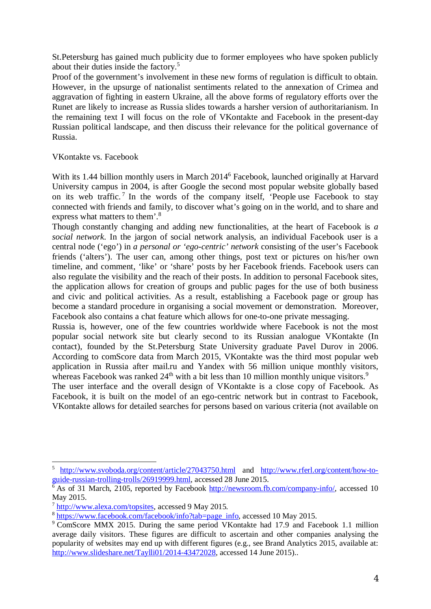St.Petersburg has gained much publicity due to former employees who have spoken publicly about their duties inside the factory.<sup>5</sup>

Proof of the government's involvement in these new forms of regulation is difficult to obtain. However, in the upsurge of nationalist sentiments related to the annexation of Crimea and aggravation of fighting in eastern Ukraine, all the above forms of regulatory efforts over the Runet are likely to increase as Russia slides towards a harsher version of authoritarianism. In the remaining text I will focus on the role of VKontakte and Facebook in the present-day Russian political landscape, and then discuss their relevance for the political governance of Russia.

# VKontakte vs. Facebook

With its 1.44 billion monthly users in March 2014<sup>6</sup> Facebook, launched originally at Harvard University campus in 2004, is after Google the second most popular website globally based on its web traffic.<sup>7</sup> In the words of the company itself, 'People use Facebook to stay connected with friends and family, to discover what's going on in the world, and to share and express what matters to them'.<sup>8</sup>

Though constantly changing and adding new functionalities, at the heart of Facebook is *a social network*. In the jargon of social network analysis, an individual Facebook user is a central node ('ego') in *a personal or 'ego-centric' network* consisting of the user's Facebook friends ('alters'). The user can, among other things, post text or pictures on his/her own timeline, and comment, 'like' or 'share' posts by her Facebook friends. Facebook users can also regulate the visibility and the reach of their posts. In addition to personal Facebook sites, the application allows for creation of groups and public pages for the use of both business and civic and political activities. As a result, establishing a Facebook page or group has become a standard procedure in organising a social movement or demonstration. Moreover, Facebook also contains a chat feature which allows for one-to-one private messaging.

Russia is, however, one of the few countries worldwide where Facebook is not the most popular social network site but clearly second to its Russian analogue VKontakte (In contact), founded by the St.Petersburg State University graduate Pavel Durov in 2006. According to comScore data from March 2015, VKontakte was the third most popular web application in Russia after mail.ru and Yandex with 56 million unique monthly visitors, whereas Facebook was ranked  $24<sup>th</sup>$  with a bit less than 10 million monthly unique visitors.<sup>9</sup>

The user interface and the overall design of VKontakte is a close copy of Facebook. As Facebook, it is built on the model of an ego-centric network but in contrast to Facebook, VKontakte allows for detailed searches for persons based on various criteria (not available on

<sup>&</sup>lt;sup>5</sup> http://www.svoboda.org/content/article/27043750.html and http://www.rferl.org/content/how-to-

guide-russian-trolling-trolls/26919999.html, accessed 28 June 2015. 6 As of 31 March, 2105, reported by Facebook http://newsroom.fb.com/company-info/, accessed 10 May 2015.

<sup>&</sup>lt;sup>7</sup> http://www.alexa.com/topsites, accessed 9 May 2015.

<sup>&</sup>lt;sup>8</sup> https://www.facebook.com/facebook/info?tab=page\_info, accessed 10 May 2015.

<sup>&</sup>lt;sup>9</sup> ComScore MMX 2015. During the same period VKontakte had 17.9 and Facebook 1.1 million average daily visitors. These figures are difficult to ascertain and other companies analysing the popularity of websites may end up with different figures (e.g., see Brand Analytics 2015, available at: http://www.slideshare.net/Taylli01/2014-43472028, accessed 14 June 2015)..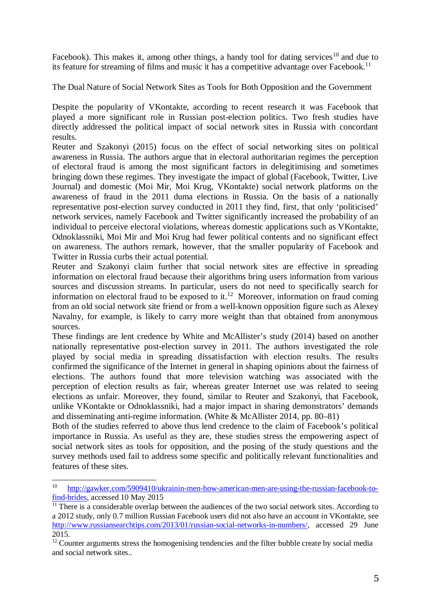Facebook). This makes it, among other things, a handy tool for dating services<sup>10</sup> and due to its feature for streaming of films and music it has a competitive advantage over Facebook.<sup>11</sup>

The Dual Nature of Social Network Sites as Tools for Both Opposition and the Government

Despite the popularity of VKontakte, according to recent research it was Facebook that played a more significant role in Russian post-election politics. Two fresh studies have directly addressed the political impact of social network sites in Russia with concordant results.

Reuter and Szakonyi (2015) focus on the effect of social networking sites on political awareness in Russia. The authors argue that in electoral authoritarian regimes the perception of electoral fraud is among the most significant factors in delegitimising and sometimes bringing down these regimes. They investigate the impact of global (Facebook, Twitter, Live Journal) and domestic (Moi Mir, Moi Krug, VKontakte) social network platforms on the awareness of fraud in the 2011 duma elections in Russia. On the basis of a nationally representative post-election survey conducted in 2011 they find, first, that only 'politicised' network services, namely Facebook and Twitter significantly increased the probability of an individual to perceive electoral violations, whereas domestic applications such as VKontakte, Odnoklassniki, Moi Mir and Moi Krug had fewer political contents and no significant effect on awareness. The authors remark, however, that the smaller popularity of Facebook and Twitter in Russia curbs their actual potential.

Reuter and Szakonyi claim further that social network sites are effective in spreading information on electoral fraud because their algorithms bring users information from various sources and discussion streams. In particular, users do not need to specifically search for information on electoral fraud to be exposed to it.<sup>12</sup> Moreover, information on fraud coming from an old social network site friend or from a well-known opposition figure such as Alexey Navalny, for example, is likely to carry more weight than that obtained from anonymous sources.

These findings are lent credence by White and McAllister's study (2014) based on another nationally representative post-election survey in 2011. The authors investigated the role played by social media in spreading dissatisfaction with election results. The results confirmed the significance of the Internet in general in shaping opinions about the fairness of elections. The authors found that more television watching was associated with the perception of election results as fair, whereas greater Internet use was related to seeing elections as unfair. Moreover, they found, similar to Reuter and Szakonyi, that Facebook, unlike VKontakte or Odnoklassniki, had a major impact in sharing demonstrators' demands and disseminating anti-regime information. (White & McAllister 2014, pp. 80–81)

Both of the studies referred to above thus lend credence to the claim of Facebook's political importance in Russia. As useful as they are, these studies stress the empowering aspect of social network sites as tools for opposition, and the posing of the study questions and the survey methods used fail to address some specific and politically relevant functionalities and features of these sites.

<sup>10</sup> http://gawker.com/5909410/ukrainin-men-how-american-men-are-using-the-russian-facebook-tofind-brides, accessed 10 May 2015

 $\overline{11}$  There is a considerable overlap between the audiences of the two social network sites. According to a 2012 study, only 0.7 million Russian Facebook users did not also have an account in VKontakte, see http://www.russiansearchtips.com/2013/01/russian-social-networks-in-numbers/, accessed 29 June 2015.

 $12$  Counter arguments stress the homogenising tendencies and the filter bubble create by social media and social network sites..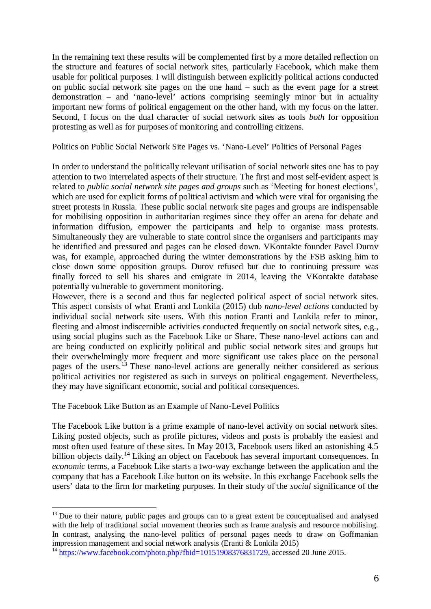In the remaining text these results will be complemented first by a more detailed reflection on the structure and features of social network sites, particularly Facebook, which make them usable for political purposes. I will distinguish between explicitly political actions conducted on public social network site pages on the one hand – such as the event page for a street demonstration – and 'nano-level' actions comprising seemingly minor but in actuality important new forms of political engagement on the other hand, with my focus on the latter. Second, I focus on the dual character of social network sites as tools *both* for opposition protesting as well as for purposes of monitoring and controlling citizens.

Politics on Public Social Network Site Pages vs. 'Nano-Level' Politics of Personal Pages

In order to understand the politically relevant utilisation of social network sites one has to pay attention to two interrelated aspects of their structure. The first and most self-evident aspect is related to *public social network site pages and groups* such as 'Meeting for honest elections', which are used for explicit forms of political activism and which were vital for organising the street protests in Russia. These public social network site pages and groups are indispensable for mobilising opposition in authoritarian regimes since they offer an arena for debate and information diffusion, empower the participants and help to organise mass protests. Simultaneously they are vulnerable to state control since the organisers and participants may be identified and pressured and pages can be closed down. VKontakte founder Pavel Durov was, for example, approached during the winter demonstrations by the FSB asking him to close down some opposition groups. Durov refused but due to continuing pressure was finally forced to sell his shares and emigrate in 2014, leaving the VKontakte database potentially vulnerable to government monitoring.

However, there is a second and thus far neglected political aspect of social network sites. This aspect consists of what Eranti and Lonkila (2015) dub *nano-level actions* conducted by individual social network site users. With this notion Eranti and Lonkila refer to minor, fleeting and almost indiscernible activities conducted frequently on social network sites, e.g., using social plugins such as the Facebook Like or Share. These nano-level actions can and are being conducted on explicitly political and public social network sites and groups but their overwhelmingly more frequent and more significant use takes place on the personal pages of the users.<sup>13</sup> These nano-level actions are generally neither considered as serious political activities nor registered as such in surveys on political engagement. Nevertheless, they may have significant economic, social and political consequences.

The Facebook Like Button as an Example of Nano-Level Politics

 

The Facebook Like button is a prime example of nano-level activity on social network sites. Liking posted objects, such as profile pictures, videos and posts is probably the easiest and most often used feature of these sites. In May 2013, Facebook users liked an astonishing 4.5 billion objects daily.<sup>14</sup> Liking an object on Facebook has several important consequences. In *economic* terms, a Facebook Like starts a two-way exchange between the application and the company that has a Facebook Like button on its website. In this exchange Facebook sells the users' data to the firm for marketing purposes. In their study of the *social* significance of the

<sup>&</sup>lt;sup>13</sup> Due to their nature, public pages and groups can to a great extent be conceptualised and analysed with the help of traditional social movement theories such as frame analysis and resource mobilising. In contrast, analysing the nano-level politics of personal pages needs to draw on Goffmanian impression management and social network analysis (Eranti & Lonkila 2015)

<sup>&</sup>lt;sup>14</sup> https://www.facebook.com/photo.php?fbid=10151908376831729, accessed 20 June 2015.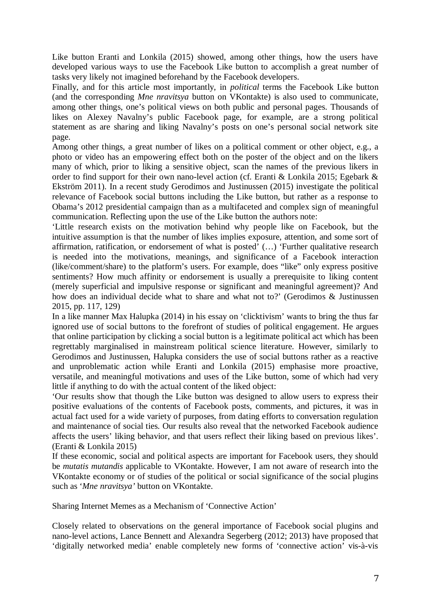Like button Eranti and Lonkila (2015) showed, among other things, how the users have developed various ways to use the Facebook Like button to accomplish a great number of tasks very likely not imagined beforehand by the Facebook developers.

Finally, and for this article most importantly, in *political* terms the Facebook Like button (and the corresponding *Mne nravitsya* button on VKontakte) is also used to communicate, among other things, one's political views on both public and personal pages. Thousands of likes on Alexey Navalny's public Facebook page, for example, are a strong political statement as are sharing and liking Navalny's posts on one's personal social network site page.

Among other things, a great number of likes on a political comment or other object, e.g., a photo or video has an empowering effect both on the poster of the object and on the likers many of which, prior to liking a sensitive object, scan the names of the previous likers in order to find support for their own nano-level action (cf. Eranti & Lonkila 2015; Egebark & Ekström 2011). In a recent study Gerodimos and Justinussen (2015) investigate the political relevance of Facebook social buttons including the Like button, but rather as a response to Obama's 2012 presidential campaign than as a multifaceted and complex sign of meaningful communication. Reflecting upon the use of the Like button the authors note:

'Little research exists on the motivation behind why people like on Facebook, but the intuitive assumption is that the number of likes implies exposure, attention, and some sort of affirmation, ratification, or endorsement of what is posted' (…) 'Further qualitative research is needed into the motivations, meanings, and significance of a Facebook interaction (like/comment/share) to the platform's users. For example, does "like" only express positive sentiments? How much affinity or endorsement is usually a prerequisite to liking content (merely superficial and impulsive response or significant and meaningful agreement)? And how does an individual decide what to share and what not to?' (Gerodimos & Justinussen 2015, pp. 117, 129)

In a like manner Max Halupka (2014) in his essay on 'clicktivism' wants to bring the thus far ignored use of social buttons to the forefront of studies of political engagement. He argues that online participation by clicking a social button is a legitimate political act which has been regrettably marginalised in mainstream political science literature. However, similarly to Gerodimos and Justinussen, Halupka considers the use of social buttons rather as a reactive and unproblematic action while Eranti and Lonkila (2015) emphasise more proactive, versatile, and meaningful motivations and uses of the Like button, some of which had very little if anything to do with the actual content of the liked object:

'Our results show that though the Like button was designed to allow users to express their positive evaluations of the contents of Facebook posts, comments, and pictures, it was in actual fact used for a wide variety of purposes, from dating efforts to conversation regulation and maintenance of social ties. Our results also reveal that the networked Facebook audience affects the users' liking behavior, and that users reflect their liking based on previous likes'. (Eranti & Lonkila 2015)

If these economic, social and political aspects are important for Facebook users, they should be *mutatis mutandis* applicable to VKontakte. However, I am not aware of research into the VKontakte economy or of studies of the political or social significance of the social plugins such as '*Mne nravitsya'* button on VKontakte.

Sharing Internet Memes as a Mechanism of 'Connective Action'

Closely related to observations on the general importance of Facebook social plugins and nano-level actions, Lance Bennett and Alexandra Segerberg (2012; 2013) have proposed that 'digitally networked media' enable completely new forms of 'connective action' vis-à-vis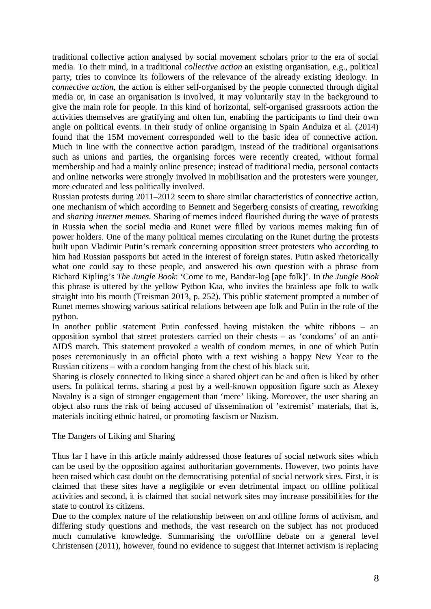traditional collective action analysed by social movement scholars prior to the era of social media. To their mind, in a traditional *collective action* an existing organisation, e.g., political party, tries to convince its followers of the relevance of the already existing ideology. In *connective action*, the action is either self-organised by the people connected through digital media or, in case an organisation is involved, it may voluntarily stay in the background to give the main role for people. In this kind of horizontal, self-organised grassroots action the activities themselves are gratifying and often fun, enabling the participants to find their own angle on political events. In their study of online organising in Spain Anduiza et al. (2014) found that the 15M movement corresponded well to the basic idea of connective action. Much in line with the connective action paradigm, instead of the traditional organisations such as unions and parties, the organising forces were recently created, without formal membership and had a mainly online presence; instead of traditional media, personal contacts and online networks were strongly involved in mobilisation and the protesters were younger, more educated and less politically involved.

Russian protests during 2011–2012 seem to share similar characteristics of connective action, one mechanism of which according to Bennett and Segerberg consists of creating, reworking and *sharing internet memes*. Sharing of memes indeed flourished during the wave of protests in Russia when the social media and Runet were filled by various memes making fun of power holders. One of the many political memes circulating on the Runet during the protests built upon Vladimir Putin's remark concerning opposition street protesters who according to him had Russian passports but acted in the interest of foreign states. Putin asked rhetorically what one could say to these people, and answered his own question with a phrase from Richard Kipling's *The Jungle Book*: 'Come to me, Bandar-log [ape folk]'. In *the Jungle Book* this phrase is uttered by the yellow Python Kaa, who invites the brainless ape folk to walk straight into his mouth (Treisman 2013, p. 252). This public statement prompted a number of Runet memes showing various satirical relations between ape folk and Putin in the role of the python.

In another public statement Putin confessed having mistaken the white ribbons – an opposition symbol that street protesters carried on their chests – as 'condoms' of an anti-AIDS march. This statement provoked a wealth of condom memes, in one of which Putin poses ceremoniously in an official photo with a text wishing a happy New Year to the Russian citizens – with a condom hanging from the chest of his black suit.

Sharing is closely connected to liking since a shared object can be and often is liked by other users. In political terms, sharing a post by a well-known opposition figure such as Alexey Navalny is a sign of stronger engagement than 'mere' liking. Moreover, the user sharing an object also runs the risk of being accused of dissemination of 'extremist' materials, that is, materials inciting ethnic hatred, or promoting fascism or Nazism.

#### The Dangers of Liking and Sharing

Thus far I have in this article mainly addressed those features of social network sites which can be used by the opposition against authoritarian governments. However, two points have been raised which cast doubt on the democratising potential of social network sites. First, it is claimed that these sites have a negligible or even detrimental impact on offline political activities and second, it is claimed that social network sites may increase possibilities for the state to control its citizens.

Due to the complex nature of the relationship between on and offline forms of activism, and differing study questions and methods, the vast research on the subject has not produced much cumulative knowledge. Summarising the on/offline debate on a general level Christensen (2011), however, found no evidence to suggest that Internet activism is replacing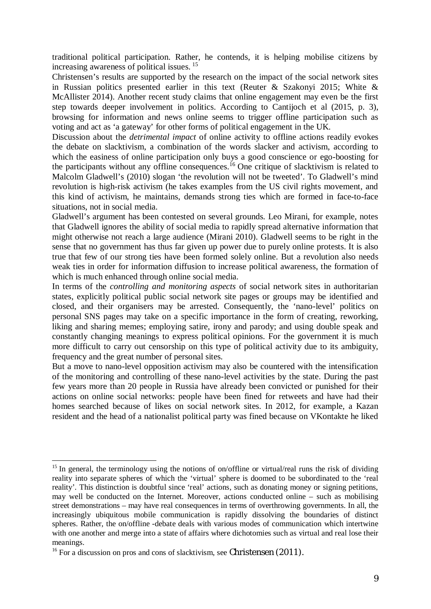traditional political participation. Rather, he contends, it is helping mobilise citizens by increasing awareness of political issues.<sup>15</sup>

Christensen's results are supported by the research on the impact of the social network sites in Russian politics presented earlier in this text (Reuter & Szakonyi 2015; White & McAllister 2014). Another recent study claims that online engagement may even be the first step towards deeper involvement in politics. According to Cantijoch et al (2015, p. 3), browsing for information and news online seems to trigger offline participation such as voting and act as 'a gateway' for other forms of political engagement in the UK.

Discussion about the *detrimental impact* of online activity to offline actions readily evokes the debate on slacktivism, a combination of the words slacker and activism, according to which the easiness of online participation only buys a good conscience or ego-boosting for the participants without any offline consequences.<sup>16</sup> One critique of slacktivism is related to Malcolm Gladwell's (2010) slogan 'the revolution will not be tweeted'. To Gladwell's mind revolution is high-risk activism (he takes examples from the US civil rights movement, and this kind of activism, he maintains, demands strong ties which are formed in face-to-face situations, not in social media.

Gladwell's argument has been contested on several grounds. Leo Mirani, for example, notes that Gladwell ignores the ability of social media to rapidly spread alternative information that might otherwise not reach a large audience (Mirani 2010). Gladwell seems to be right in the sense that no government has thus far given up power due to purely online protests. It is also true that few of our strong ties have been formed solely online. But a revolution also needs weak ties in order for information diffusion to increase political awareness, the formation of which is much enhanced through online social media.

In terms of the *controlling and monitoring aspects* of social network sites in authoritarian states, explicitly political public social network site pages or groups may be identified and closed, and their organisers may be arrested. Consequently, the 'nano-level' politics on personal SNS pages may take on a specific importance in the form of creating, reworking, liking and sharing memes; employing satire, irony and parody; and using double speak and constantly changing meanings to express political opinions. For the government it is much more difficult to carry out censorship on this type of political activity due to its ambiguity, frequency and the great number of personal sites.

But a move to nano-level opposition activism may also be countered with the intensification of the monitoring and controlling of these nano-level activities by the state. During the past few years more than 20 people in Russia have already been convicted or punished for their actions on online social networks: people have been fined for retweets and have had their homes searched because of likes on social network sites. In 2012, for example, a Kazan resident and the head of a nationalist political party was fined because on VKontakte he liked

<sup>&</sup>lt;sup>15</sup> In general, the terminology using the notions of on/offline or virtual/real runs the risk of dividing reality into separate spheres of which the 'virtual' sphere is doomed to be subordinated to the 'real reality'. This distinction is doubtful since 'real' actions, such as donating money or signing petitions, may well be conducted on the Internet. Moreover, actions conducted online – such as mobilising street demonstrations – may have real consequences in terms of overthrowing governments. In all, the increasingly ubiquitous mobile communication is rapidly dissolving the boundaries of distinct spheres. Rather, the on/offline -debate deals with various modes of communication which intertwine with one another and merge into a state of affairs where dichotomies such as virtual and real lose their meanings.

<sup>&</sup>lt;sup>16</sup> For a discussion on pros and cons of slacktivism, see Christensen (2011).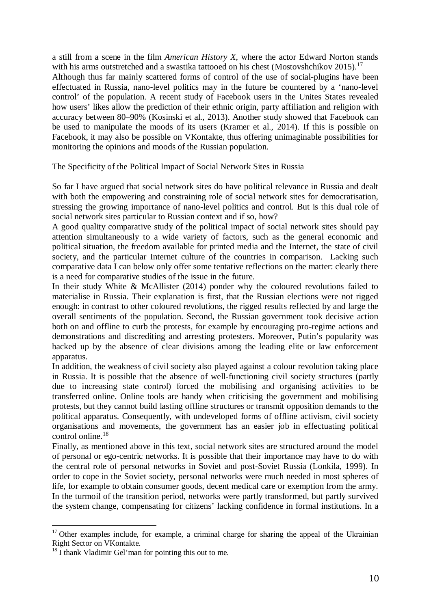a still from a scene in the film *American History X*, where the actor Edward Norton stands with his arms outstretched and a swastika tattooed on his chest (Mostovshchikov 2015).<sup>17</sup> Although thus far mainly scattered forms of control of the use of social-plugins have been effectuated in Russia, nano-level politics may in the future be countered by a 'nano-level control' of the population. A recent study of Facebook users in the Unites States revealed how users' likes allow the prediction of their ethnic origin, party affiliation and religion with accuracy between 80–90% (Kosinski et al., 2013). Another study showed that Facebook can be used to manipulate the moods of its users (Kramer et al., 2014). If this is possible on Facebook, it may also be possible on VKontakte, thus offering unimaginable possibilities for monitoring the opinions and moods of the Russian population.

The Specificity of the Political Impact of Social Network Sites in Russia

So far I have argued that social network sites do have political relevance in Russia and dealt with both the empowering and constraining role of social network sites for democratisation, stressing the growing importance of nano-level politics and control. But is this dual role of social network sites particular to Russian context and if so, how?

A good quality comparative study of the political impact of social network sites should pay attention simultaneously to a wide variety of factors, such as the general economic and political situation, the freedom available for printed media and the Internet, the state of civil society, and the particular Internet culture of the countries in comparison. Lacking such comparative data I can below only offer some tentative reflections on the matter: clearly there is a need for comparative studies of the issue in the future.

In their study White & McAllister (2014) ponder why the coloured revolutions failed to materialise in Russia. Their explanation is first, that the Russian elections were not rigged enough: in contrast to other coloured revolutions, the rigged results reflected by and large the overall sentiments of the population. Second, the Russian government took decisive action both on and offline to curb the protests, for example by encouraging pro-regime actions and demonstrations and discrediting and arresting protesters. Moreover, Putin's popularity was backed up by the absence of clear divisions among the leading elite or law enforcement apparatus.

In addition, the weakness of civil society also played against a colour revolution taking place in Russia. It is possible that the absence of well-functioning civil society structures (partly due to increasing state control) forced the mobilising and organising activities to be transferred online. Online tools are handy when criticising the government and mobilising protests, but they cannot build lasting offline structures or transmit opposition demands to the political apparatus. Consequently, with undeveloped forms of offline activism, civil society organisations and movements, the government has an easier job in effectuating political control online.<sup>18</sup>

Finally, as mentioned above in this text, social network sites are structured around the model of personal or ego-centric networks. It is possible that their importance may have to do with the central role of personal networks in Soviet and post-Soviet Russia (Lonkila, 1999). In order to cope in the Soviet society, personal networks were much needed in most spheres of life, for example to obtain consumer goods, decent medical care or exemption from the army. In the turmoil of the transition period, networks were partly transformed, but partly survived the system change, compensating for citizens' lacking confidence in formal institutions. In a

 $17$  Other examples include, for example, a criminal charge for sharing the appeal of the Ukrainian Right Sector on VKontakte.

 $18 \text{ I}$  thank Vladimir Gel'man for pointing this out to me.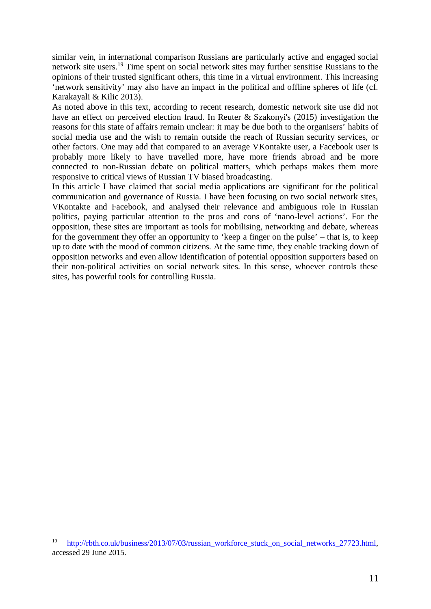similar vein, in international comparison Russians are particularly active and engaged social network site users.<sup>19</sup> Time spent on social network sites may further sensitise Russians to the opinions of their trusted significant others, this time in a virtual environment. This increasing 'network sensitivity' may also have an impact in the political and offline spheres of life (cf. Karakayali & Kilic 2013).

As noted above in this text, according to recent research, domestic network site use did not have an effect on perceived election fraud. In Reuter & Szakonyi's (2015) investigation the reasons for this state of affairs remain unclear: it may be due both to the organisers' habits of social media use and the wish to remain outside the reach of Russian security services, or other factors. One may add that compared to an average VKontakte user, a Facebook user is probably more likely to have travelled more, have more friends abroad and be more connected to non-Russian debate on political matters, which perhaps makes them more responsive to critical views of Russian TV biased broadcasting.

In this article I have claimed that social media applications are significant for the political communication and governance of Russia. I have been focusing on two social network sites, VKontakte and Facebook, and analysed their relevance and ambiguous role in Russian politics, paying particular attention to the pros and cons of 'nano-level actions'. For the opposition, these sites are important as tools for mobilising, networking and debate, whereas for the government they offer an opportunity to 'keep a finger on the pulse' – that is, to keep up to date with the mood of common citizens. At the same time, they enable tracking down of opposition networks and even allow identification of potential opposition supporters based on their non-political activities on social network sites. In this sense, whoever controls these sites, has powerful tools for controlling Russia.

<sup>&</sup>lt;sup>19</sup> http://rbth.co.uk/business/2013/07/03/russian\_workforce\_stuck\_on\_social\_networks\_27723.html, accessed 29 June 2015.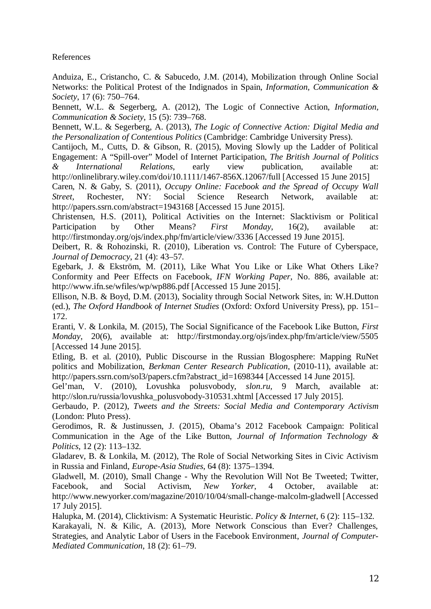References

Anduiza, E., Cristancho, C. & Sabucedo, J.M. (2014), Mobilization through Online Social Networks: the Political Protest of the Indignados in Spain, *Information, Communication & Society*, 17 (6): 750–764.

Bennett, W.L. & Segerberg, A. (2012), The Logic of Connective Action, *Information, Communication & Society*, 15 (5): 739–768.

Bennett, W.L. & Segerberg, A. (2013), *The Logic of Connective Action: Digital Media and the Personalization of Contentious Politics* (Cambridge: Cambridge University Press).

Cantijoch, M., Cutts, D. & Gibson, R. (2015), Moving Slowly up the Ladder of Political Engagement: A "Spill-over" Model of Internet Participation, *The British Journal of Politics & International Relations*, early view publication, available at: http://onlinelibrary.wiley.com/doi/10.1111/1467-856X.12067/full [Accessed 15 June 2015]

Caren, N. & Gaby, S. (2011), *Occupy Online: Facebook and the Spread of Occupy Wall Street*, Rochester, NY: Social Science Research Network, available at: http://papers.ssrn.com/abstract=1943168 [Accessed 15 June 2015].

Christensen, H.S. (2011), Political Activities on the Internet: Slacktivism or Political Participation by Other Means? *First Monday*, 16(2), available at: http://firstmonday.org/ojs/index.php/fm/article/view/3336 [Accessed 19 June 2015].

Deibert, R. & Rohozinski, R. (2010), Liberation vs. Control: The Future of Cyberspace, *Journal of Democracy*, 21 (4): 43–57.

Egebark, J. & Ekström, M. (2011), Like What You Like or Like What Others Like? Conformity and Peer Effects on Facebook, *IFN Working Paper*, No. 886, available at: http://www.ifn.se/wfiles/wp/wp886.pdf [Accessed 15 June 2015].

Ellison, N.B. & Boyd, D.M. (2013), Sociality through Social Network Sites, in: W.H.Dutton (ed.), *The Oxford Handbook of Internet Studies* (Oxford: Oxford University Press), pp. 151– 172.

Eranti, V. & Lonkila, M. (2015), The Social Significance of the Facebook Like Button, *First Monday*, 20(6), available at: http://firstmonday.org/ojs/index.php/fm/article/view/5505 [Accessed 14 June 2015].

Etling, B. et al. (2010), Public Discourse in the Russian Blogosphere: Mapping RuNet politics and Mobilization, *Berkman Center Research Publication*, (2010-11), available at: http://papers.ssrn.com/sol3/papers.cfm?abstract\_id=1698344 [Accessed 14 June 2015].

Gel'man, V. (2010), Lovushka polusvobody, *slon.ru,* 9 March, available at: http://slon.ru/russia/lovushka\_polusvobody-310531.xhtml [Accessed 17 July 2015].

Gerbaudo, P. (2012), *Tweets and the Streets: Social Media and Contemporary Activism* (London: Pluto Press).

Gerodimos, R. & Justinussen, J. (2015), Obama's 2012 Facebook Campaign: Political Communication in the Age of the Like Button, *Journal of Information Technology & Politics*, 12 (2): 113–132.

Gladarev, B. & Lonkila, M. (2012), The Role of Social Networking Sites in Civic Activism in Russia and Finland, *Europe-Asia Studies*, 64 (8): 1375–1394.

Gladwell, M. (2010), Small Change - Why the Revolution Will Not Be Tweeted; Twitter, Facebook, and Social Activism, *New Yorker*, 4 October, available at: http://www.newyorker.com/magazine/2010/10/04/small-change-malcolm-gladwell [Accessed 17 July 2015].

Halupka, M. (2014), Clicktivism: A Systematic Heuristic. *Policy & Internet*, 6 (2): 115–132. Karakayali, N. & Kilic, A. (2013), More Network Conscious than Ever? Challenges, Strategies, and Analytic Labor of Users in the Facebook Environment, *Journal of Computer-Mediated Communication*, 18 (2): 61–79.